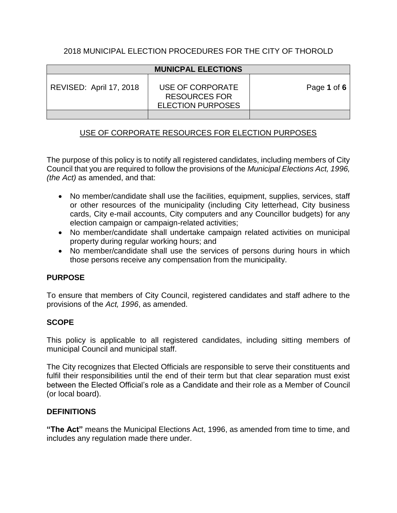## 2018 MUNICIPAL ELECTION PROCEDURES FOR THE CITY OF THOROLD

| <b>MUNICPAL ELECTIONS</b> |                                                                      |             |
|---------------------------|----------------------------------------------------------------------|-------------|
| REVISED: April 17, 2018   | USE OF CORPORATE<br><b>RESOURCES FOR</b><br><b>ELECTION PURPOSES</b> | Page 1 of 6 |
|                           |                                                                      |             |

# USE OF CORPORATE RESOURCES FOR ELECTION PURPOSES

The purpose of this policy is to notify all registered candidates, including members of City Council that you are required to follow the provisions of the *Municipal Elections Act, 1996, (the Act)* as amended, and that:

- No member/candidate shall use the facilities, equipment, supplies, services, staff or other resources of the municipality (including City letterhead, City business cards, City e-mail accounts, City computers and any Councillor budgets) for any election campaign or campaign-related activities;
- No member/candidate shall undertake campaign related activities on municipal property during regular working hours; and
- No member/candidate shall use the services of persons during hours in which those persons receive any compensation from the municipality.

## **PURPOSE**

To ensure that members of City Council, registered candidates and staff adhere to the provisions of the *Act, 1996*, as amended.

#### **SCOPE**

This policy is applicable to all registered candidates, including sitting members of municipal Council and municipal staff.

The City recognizes that Elected Officials are responsible to serve their constituents and fulfil their responsibilities until the end of their term but that clear separation must exist between the Elected Official's role as a Candidate and their role as a Member of Council (or local board).

#### **DEFINITIONS**

**"The Act"** means the Municipal Elections Act, 1996, as amended from time to time, and includes any regulation made there under.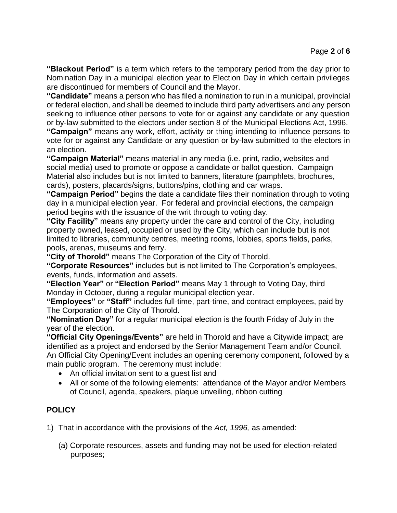**"Blackout Period"** is a term which refers to the temporary period from the day prior to Nomination Day in a municipal election year to Election Day in which certain privileges are discontinued for members of Council and the Mayor.

**"Candidate"** means a person who has filed a nomination to run in a municipal, provincial or federal election, and shall be deemed to include third party advertisers and any person seeking to influence other persons to vote for or against any candidate or any question or by-law submitted to the electors under section 8 of the Municipal Elections Act, 1996.

**"Campaign"** means any work, effort, activity or thing intending to influence persons to vote for or against any Candidate or any question or by-law submitted to the electors in an election.

**"Campaign Material"** means material in any media (i.e. print, radio, websites and social media) used to promote or oppose a candidate or ballot question. Campaign Material also includes but is not limited to banners, literature (pamphlets, brochures, cards), posters, placards/signs, buttons/pins, clothing and car wraps.

**"Campaign Period"** begins the date a candidate files their nomination through to voting day in a municipal election year. For federal and provincial elections, the campaign period begins with the issuance of the writ through to voting day.

**"City Facility"** means any property under the care and control of the City, including property owned, leased, occupied or used by the City, which can include but is not limited to libraries, community centres, meeting rooms, lobbies, sports fields, parks, pools, arenas, museums and ferry.

**"City of Thorold"** means The Corporation of the City of Thorold.

**"Corporate Resources"** includes but is not limited to The Corporation's employees, events, funds, information and assets.

**"Election Year"** or **"Election Period"** means May 1 through to Voting Day, third Monday in October, during a regular municipal election year.

**"Employees"** or **"Staff"** includes full-time, part-time, and contract employees, paid by The Corporation of the City of Thorold.

**"Nomination Day"** for a regular municipal election is the fourth Friday of July in the year of the election.

**"Official City Openings/Events"** are held in Thorold and have a Citywide impact; are identified as a project and endorsed by the Senior Management Team and/or Council. An Official City Opening/Event includes an opening ceremony component, followed by a main public program. The ceremony must include:

- An official invitation sent to a guest list and
- All or some of the following elements: attendance of the Mayor and/or Members of Council, agenda, speakers, plaque unveiling, ribbon cutting

## **POLICY**

1) That in accordance with the provisions of the *Act, 1996,* as amended:

(a) Corporate resources, assets and funding may not be used for election-related purposes;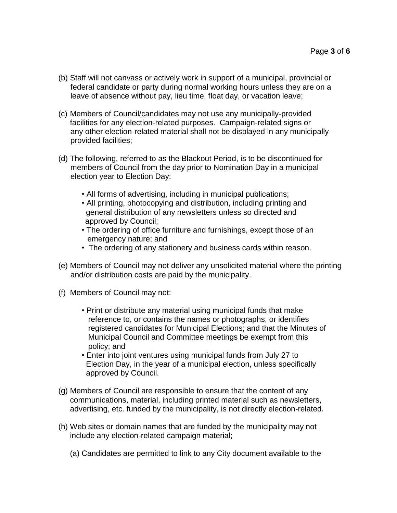- (b) Staff will not canvass or actively work in support of a municipal, provincial or federal candidate or party during normal working hours unless they are on a leave of absence without pay, lieu time, float day, or vacation leave;
- (c) Members of Council/candidates may not use any municipally-provided facilities for any election-related purposes. Campaign-related signs or any other election-related material shall not be displayed in any municipally provided facilities;
- (d) The following, referred to as the Blackout Period, is to be discontinued for members of Council from the day prior to Nomination Day in a municipal election year to Election Day:
	- All forms of advertising, including in municipal publications;
	- All printing, photocopying and distribution, including printing and general distribution of any newsletters unless so directed and approved by Council;
	- The ordering of office furniture and furnishings, except those of an emergency nature; and
	- The ordering of any stationery and business cards within reason.
- (e) Members of Council may not deliver any unsolicited material where the printing and/or distribution costs are paid by the municipality.
- (f) Members of Council may not:
	- Print or distribute any material using municipal funds that make reference to, or contains the names or photographs, or identifies registered candidates for Municipal Elections; and that the Minutes of Municipal Council and Committee meetings be exempt from this policy; and
	- Enter into joint ventures using municipal funds from July 27 to Election Day, in the year of a municipal election, unless specifically approved by Council.
- (g) Members of Council are responsible to ensure that the content of any communications, material, including printed material such as newsletters, advertising, etc. funded by the municipality, is not directly election-related.
- (h) Web sites or domain names that are funded by the municipality may not include any election-related campaign material;
	- (a) Candidates are permitted to link to any City document available to the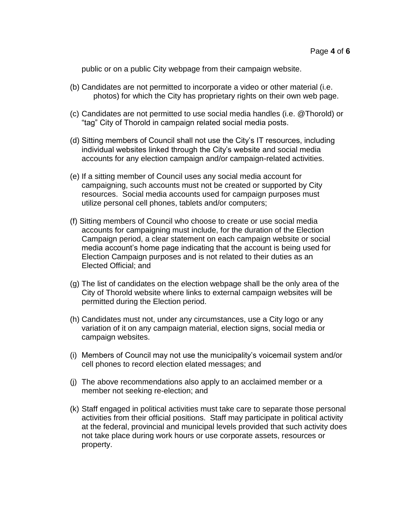public or on a public City webpage from their campaign website.

- (b) Candidates are not permitted to incorporate a video or other material (i.e. photos) for which the City has proprietary rights on their own web page.
- (c) Candidates are not permitted to use social media handles (i.e. @Thorold) or "tag" City of Thorold in campaign related social media posts.
- (d) Sitting members of Council shall not use the City's IT resources, including individual websites linked through the City's website and social media accounts for any election campaign and/or campaign-related activities.
- (e) If a sitting member of Council uses any social media account for campaigning, such accounts must not be created or supported by City resources. Social media accounts used for campaign purposes must utilize personal cell phones, tablets and/or computers;
- (f) Sitting members of Council who choose to create or use social media accounts for campaigning must include, for the duration of the Election Campaign period, a clear statement on each campaign website or social media account's home page indicating that the account is being used for Election Campaign purposes and is not related to their duties as an Elected Official; and
- (g) The list of candidates on the election webpage shall be the only area of the City of Thorold website where links to external campaign websites will be permitted during the Election period.
- (h) Candidates must not, under any circumstances, use a City logo or any variation of it on any campaign material, election signs, social media or campaign websites.
- (i) Members of Council may not use the municipality's voicemail system and/or cell phones to record election elated messages; and
- (j) The above recommendations also apply to an acclaimed member or a member not seeking re-election; and
- (k) Staff engaged in political activities must take care to separate those personal activities from their official positions. Staff may participate in political activity at the federal, provincial and municipal levels provided that such activity does not take place during work hours or use corporate assets, resources or property.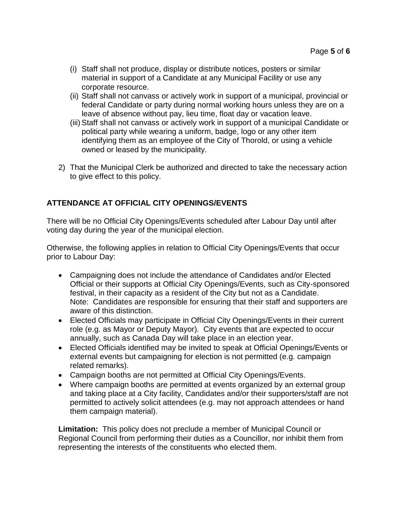- (i) Staff shall not produce, display or distribute notices, posters or similar material in support of a Candidate at any Municipal Facility or use any corporate resource.
- (ii) Staff shall not canvass or actively work in support of a municipal, provincial or federal Candidate or party during normal working hours unless they are on a leave of absence without pay, lieu time, float day or vacation leave.
- (iii) Staff shall not canvass or actively work in support of a municipal Candidate or political party while wearing a uniform, badge, logo or any other item identifying them as an employee of the City of Thorold, or using a vehicle owned or leased by the municipality.
- 2) That the Municipal Clerk be authorized and directed to take the necessary action to give effect to this policy.

# **ATTENDANCE AT OFFICIAL CITY OPENINGS/EVENTS**

There will be no Official City Openings/Events scheduled after Labour Day until after voting day during the year of the municipal election.

Otherwise, the following applies in relation to Official City Openings/Events that occur prior to Labour Day:

- Campaigning does not include the attendance of Candidates and/or Elected Official or their supports at Official City Openings/Events, such as City-sponsored festival, in their capacity as a resident of the City but not as a Candidate. Note: Candidates are responsible for ensuring that their staff and supporters are aware of this distinction.
- Elected Officials may participate in Official City Openings/Events in their current role (e.g. as Mayor or Deputy Mayor). City events that are expected to occur annually, such as Canada Day will take place in an election year.
- Elected Officials identified may be invited to speak at Official Openings/Events or external events but campaigning for election is not permitted (e.g. campaign related remarks).
- Campaign booths are not permitted at Official City Openings/Events.
- Where campaign booths are permitted at events organized by an external group and taking place at a City facility, Candidates and/or their supporters/staff are not permitted to actively solicit attendees (e.g. may not approach attendees or hand them campaign material).

**Limitation:** This policy does not preclude a member of Municipal Council or Regional Council from performing their duties as a Councillor, nor inhibit them from representing the interests of the constituents who elected them.